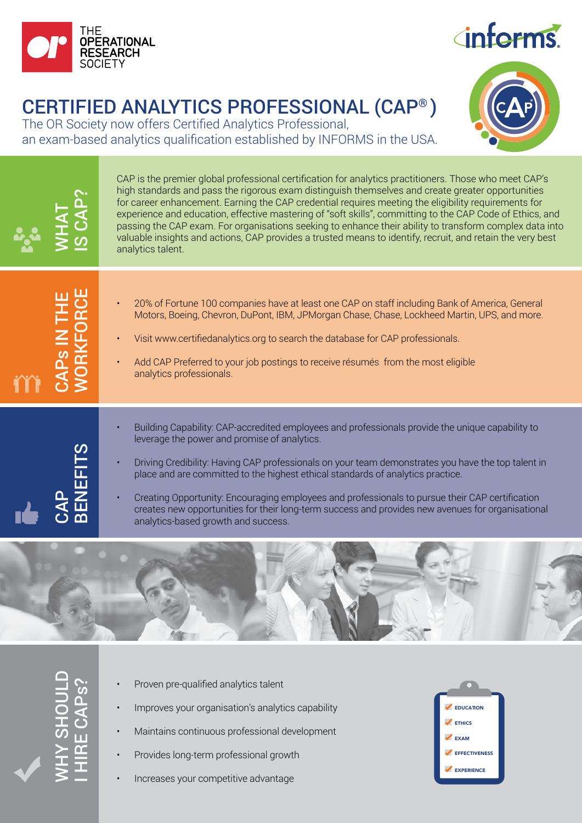

## **inferms**

## CERTIFIED ANALYTICS PROFESSIONAL (CAP® )

The OR Society now offers Certified Analytics Professional, an exam-based analytics qualification established by INFORMS in the USA.







- Proven pre-qualified analytics talent
- Improves your organisation's analytics capability
- Maintains continuous professional development
- Provides long-term professional growth
- Increases your competitive advantage